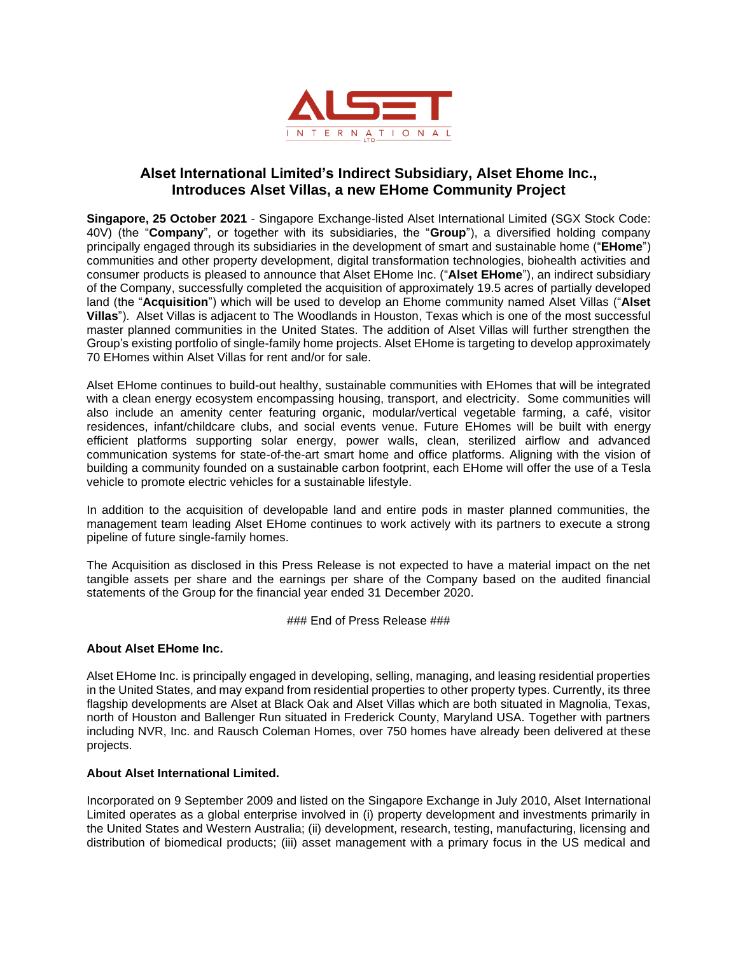

## **Alset International Limited's Indirect Subsidiary, Alset Ehome Inc., Introduces Alset Villas, a new EHome Community Project**

**Singapore, 25 October 2021** - Singapore Exchange-listed Alset International Limited (SGX Stock Code: 40V) (the "**Company**", or together with its subsidiaries, the "**Group**"), a diversified holding company principally engaged through its subsidiaries in the development of smart and sustainable home ("**EHome**") communities and other property development, digital transformation technologies, biohealth activities and consumer products is pleased to announce that Alset EHome Inc. ("**Alset EHome**"), an indirect subsidiary of the Company, successfully completed the acquisition of approximately 19.5 acres of partially developed land (the "**Acquisition**") which will be used to develop an Ehome community named Alset Villas ("**Alset Villas**"). Alset Villas is adjacent to The Woodlands in Houston, Texas which is one of the most successful master planned communities in the United States. The addition of Alset Villas will further strengthen the Group's existing portfolio of single-family home projects. Alset EHome is targeting to develop approximately 70 EHomes within Alset Villas for rent and/or for sale.

Alset EHome continues to build-out healthy, sustainable communities with EHomes that will be integrated with a clean energy ecosystem encompassing housing, transport, and electricity. Some communities will also include an amenity center featuring organic, modular/vertical vegetable farming, a café, visitor residences, infant/childcare clubs, and social events venue. Future EHomes will be built with energy efficient platforms supporting solar energy, power walls, clean, sterilized airflow and advanced communication systems for state-of-the-art smart home and office platforms. Aligning with the vision of building a community founded on a sustainable carbon footprint, each EHome will offer the use of a Tesla vehicle to promote electric vehicles for a sustainable lifestyle.

In addition to the acquisition of developable land and entire pods in master planned communities, the management team leading Alset EHome continues to work actively with its partners to execute a strong pipeline of future single-family homes.

The Acquisition as disclosed in this Press Release is not expected to have a material impact on the net tangible assets per share and the earnings per share of the Company based on the audited financial statements of the Group for the financial year ended 31 December 2020.

### End of Press Release ###

## **About Alset EHome Inc.**

Alset EHome Inc. is principally engaged in developing, selling, managing, and leasing residential properties in the United States, and may expand from residential properties to other property types. Currently, its three flagship developments are Alset at Black Oak and Alset Villas which are both situated in Magnolia, Texas, north of Houston and Ballenger Run situated in Frederick County, Maryland USA. Together with partners including NVR, Inc. and Rausch Coleman Homes, over 750 homes have already been delivered at these projects.

## **About Alset International Limited.**

Incorporated on 9 September 2009 and listed on the Singapore Exchange in July 2010, Alset International Limited operates as a global enterprise involved in (i) property development and investments primarily in the United States and Western Australia; (ii) development, research, testing, manufacturing, licensing and distribution of biomedical products; (iii) asset management with a primary focus in the US medical and